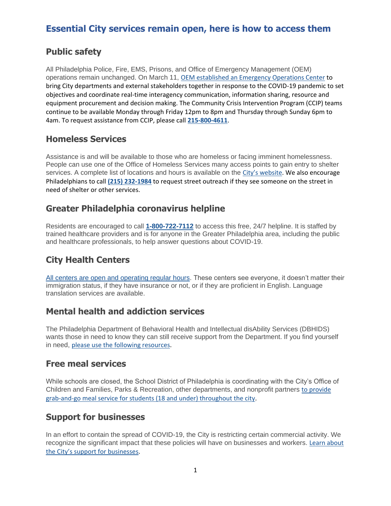## **Public safety**

All Philadelphia Police, Fire, EMS, Prisons, and Office of Emergency Management (OEM) operations remain unchanged. On March 11, [OEM established an Emergency Operations Center](https://www.phila.gov/2020-03-12-citys-emergency-operations-center-opens-in-response-to-covid-19/) to bring City departments and external stakeholders together in response to the COVID-19 pandemic to set objectives and coordinate real-time interagency communication, information sharing, resource and equipment procurement and decision making. The Community Crisis Intervention Program (CCIP) teams continue to be available Monday through Friday 12pm to 8pm and Thursday through Sunday 6pm to 4am. To request assistance from CCIP, please call **[215-800-4611](tel:215-800-4611)**.

#### **Homeless Services**

Assistance is and will be available to those who are homeless or facing imminent homelessness. People can use one of the Office of Homeless Services many access points to gain entry to shelter services. A complete list of locations and hours is available on the [City's websit](https://www.phila.gov/services/property-lots-housing/buy-sell-or-rent-a-property/find-housing/find-emergency-housing/)e. We also encourage Philadelphians to call **[\(215\) 232-1984](tel:(215)%20232-1984)** to request street outreach if they see someone on the street in need of shelter or other services.

## **Greater Philadelphia coronavirus helpline**

Residents are encouraged to call **[1-800-722-7112](tel:1-800-722-7112)** to access this free, 24/7 helpline. It is staffed by trained healthcare providers and is for anyone in the Greater Philadelphia area, including the public and healthcare professionals, to help answer questions about COVID-19.

# **City Health Centers**

[All centers are open and operating regular hours.](https://www.phila.gov/services/mental-physical-health/city-health-centers/) These centers see everyone, it doesn't matter their immigration status, if they have insurance or not, or if they are proficient in English. Language translation services are available.

## **Mental health and addiction services**

The Philadelphia Department of Behavioral Health and Intellectual disAbility Services (DBHIDS) wants those in need to know they can still receive support from the Department. If you find yourself in need, [please use the following resources.](https://www.phila.gov/2020-03-16-mental-health-services-available-through-covid-19-closures/)

#### **Free meal services**

While schools are closed, the School District of Philadelphia is coordinating with the City's Office of Children and Families, Parks & Recreation, other departments, and nonprofit partners to provide [grab-and-go meal service for students \(18 and under\) throughout the city.](https://www.phila.gov/2020-03-14-find-free-meals-and-safe-spaces-for-students-while-schools-are-closed/)

## **Support for businesses**

In an effort to contain the spread of COVID-19, the City is restricting certain commercial activity. We recognize the significant impact that these policies will have on businesses and workers. Learn about [the City's support for businesse](https://www.phila.gov/2020-03-17-non-essential-businesses-to-close-for-at-least-two-weeks/)s.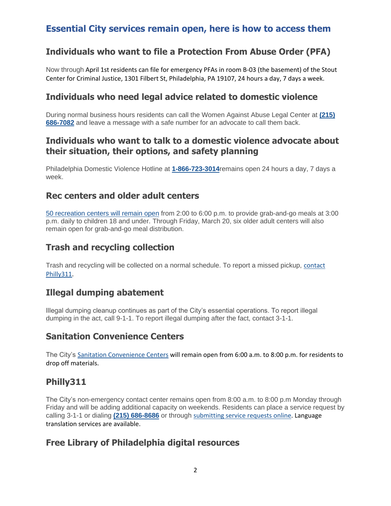## **Individuals who want to file a Protection From Abuse Order (PFA)**

Now through April 1st residents can file for emergency PFAs in room B-03 (the basement) of the Stout Center for Criminal Justice, 1301 Filbert St, Philadelphia, PA 19107, 24 hours a day, 7 days a week.

#### **Individuals who need legal advice related to domestic violence**

During normal business hours residents can call the Women Against Abuse Legal Center at **[\(215\)](tel:(215)%20686-7082)  [686-7082](tel:(215)%20686-7082)** and leave a message with a safe number for an advocate to call them back.

#### **Individuals who want to talk to a domestic violence advocate about their situation, their options, and safety planning**

Philadelphia Domestic Violence Hotline at **[1-866-723-3014](tel:1-866-723-3014)**remains open 24 hours a day, 7 days a week.

#### **Rec centers and older adult centers**

[50 recreation centers will remain open](https://www.phila.gov/2020-03-16-50-recreation-centers-and-six-older-adult-centers-to-remain-open/) from 2:00 to 6:00 p.m. to provide grab-and-go meals at 3:00 p.m. daily to children 18 and under. Through Friday, March 20, six older adult centers will also remain open for grab-and-go meal distribution.

#### **Trash and recycling collection**

Trash and recycling will be collected on a normal schedule. To report a missed pickup, [contact](https://www.phila.gov/311/form/Pages/default.aspx)  [Philly311.](https://www.phila.gov/311/form/Pages/default.aspx)

#### **Illegal dumping abatement**

Illegal dumping cleanup continues as part of the City's essential operations. To report illegal dumping in the act, call 9-1-1. To report illegal dumping after the fact, contact 3-1-1.

#### **Sanitation Convenience Centers**

The City's [Sanitation Convenience Centers](https://www.phila.gov/services/trash-recycling-city-upkeep/find-a-trash-or-recycling-center/) will remain open from 6:00 a.m. to 8:00 p.m. for residents to drop off materials.

#### **Philly311**

The City's non-emergency contact center remains open from 8:00 a.m. to 8:00 p.m Monday through Friday and will be adding additional capacity on weekends. Residents can place a service request by calling 3-1-1 or dialing **[\(215\) 686-8686](tel:(215)%20686-8686)** or through [submitting service requests online.](https://www.phila.gov/311/form/Pages/default.aspx) Language translation services are available.

#### **Free Library of Philadelphia digital resources**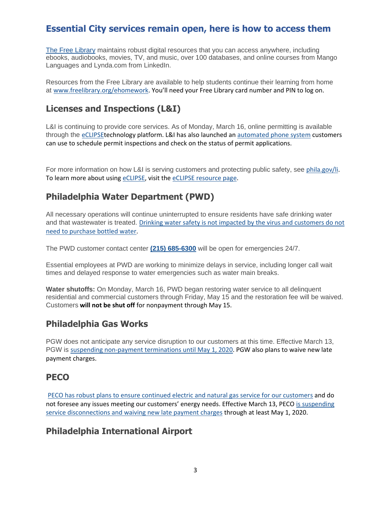[The Free Library](https://www.freelibrary.org/) maintains robust digital resources that you can access anywhere, including ebooks, audiobooks, movies, TV, and music, over 100 databases, and online courses from Mango Languages and Lynda.com from LinkedIn.

Resources from the Free Library are available to help students continue their learning from home at [www.freelibrary.org/ehomework](http://www.freelibrary.org/ehomework). You'll need your Free Library card number and PIN to log on.

## **Licenses and Inspections (L&I)**

L&I is continuing to provide core services. As of Monday, March 16, online permitting is available through the [eCLIPSEt](https://eclipse.phila.gov/phillylmsprod/pub/lms/Login.aspx)echnology platform. L&I has also launched an [automated phone system](https://www.phila.gov/documents/inspection-scheduling-materials/) customers can use to schedule permit inspections and check on the status of permit applications.

For more information on how L&I is serving customers and protecting public safety, see [phila.gov/li.](https://www.phila.gov/departments/department-of-licenses-and-inspections/) To learn more about using [eCLIPSE,](https://eclipse.phila.gov/phillylmsprod/pub/lms/Login.aspx) visit the [eCLIPSE resource page.](https://www.phila.gov/departments/department-of-licenses-and-inspections/permits-and-certificates/help-using-eclipse/)

# **Philadelphia Water Department (PWD)**

All necessary operations will continue uninterrupted to ensure residents have safe drinking water and that wastewater is treated. [Drinking water safety is not impacted by the virus and customers do not](https://phillyh2o.info/covid-19-update)  [need to purchase bottled water.](https://phillyh2o.info/covid-19-update)

The PWD customer contact center **[\(215\) 685-6300](tel:(215)%20685-6300)** will be open for emergencies 24/7.

Essential employees at PWD are working to minimize delays in service, including longer call wait times and delayed response to water emergencies such as water main breaks.

**Water shutoffs:** On Monday, March 16, PWD began restoring water service to all delinquent residential and commercial customers through Friday, May 15 and the restoration fee will be waived. Customers **will not be shut off** for nonpayment through May 15.

## **Philadelphia Gas Works**

PGW does not anticipate any service disruption to our customers at this time. Effective March 13, PGW is [suspending non-payment terminations until May 1, 2020.](https://www.pgworks.com/residential/covid-19) PGW also plans to waive new late payment charges.

## **PECO**

[PECO has robust plans to ensure continued electric and natural gas service for our customers](https://www.peco.com/SafetyCommunity/Safety/Pages/coronavirus.aspx) and do not foresee any issues meeting our customers' energy needs. Effective March 13, PECO is suspending [service disconnections and waiving new late payment charges](https://www.peco.com/News/Pages/Press%20Releases/PECOExpandsAssistanceProgramstoSupportAllCustomersDuringCoronavirusPandemic031320.aspx) through at least May 1, 2020.

## **Philadelphia International Airport**